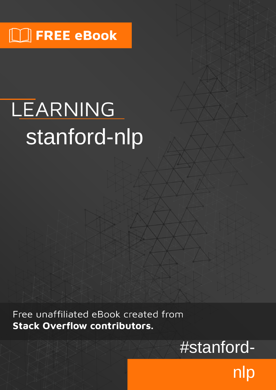## $\lfloor \rfloor$  FREE eBook

# LEARNING stanford-nlp

Free unaffiliated eBook created from **Stack Overflow contributors.** 

## #stanford-

nlp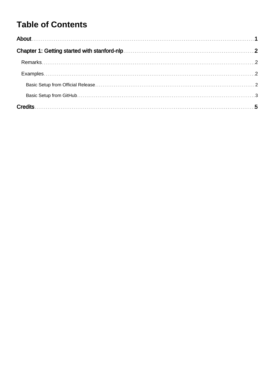## **Table of Contents**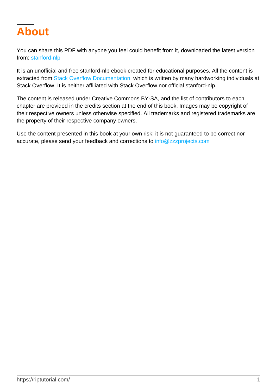<span id="page-2-0"></span>

You can share this PDF with anyone you feel could benefit from it, downloaded the latest version from: [stanford-nlp](http://riptutorial.com/ebook/stanford-nlp)

It is an unofficial and free stanford-nlp ebook created for educational purposes. All the content is extracted from [Stack Overflow Documentation,](https://archive.org/details/documentation-dump.7z) which is written by many hardworking individuals at Stack Overflow. It is neither affiliated with Stack Overflow nor official stanford-nlp.

The content is released under Creative Commons BY-SA, and the list of contributors to each chapter are provided in the credits section at the end of this book. Images may be copyright of their respective owners unless otherwise specified. All trademarks and registered trademarks are the property of their respective company owners.

Use the content presented in this book at your own risk; it is not guaranteed to be correct nor accurate, please send your feedback and corrections to [info@zzzprojects.com](mailto:info@zzzprojects.com)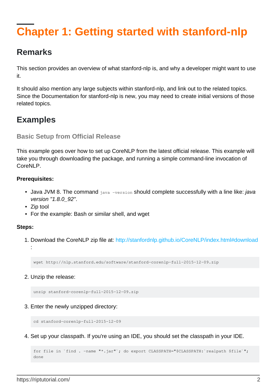## <span id="page-3-0"></span>**Chapter 1: Getting started with stanford-nlp**

### <span id="page-3-1"></span>**Remarks**

This section provides an overview of what stanford-nlp is, and why a developer might want to use it.

It should also mention any large subjects within stanford-nlp, and link out to the related topics. Since the Documentation for stanford-nlp is new, you may need to create initial versions of those related topics.

### <span id="page-3-2"></span>**Examples**

<span id="page-3-3"></span>**Basic Setup from Official Release**

This example goes over how to set up CoreNLP from the latest official release. This example will take you through downloading the package, and running a simple command-line invocation of CoreNLP

#### **Prerequisites:**

- Java JVM 8. The command java -version should complete successfully with a line like: *java* version "1.8.0\_92".
- Zip tool
- For the example: Bash or similar shell, and wget

#### **Steps:**

1. Download the CoreNLP zip file at:<http://stanfordnlp.github.io/CoreNLP/index.html#download> :

wget http://nlp.stanford.edu/software/stanford-corenlp-full-2015-12-09.zip

2. Unzip the release:

```
unzip stanford-corenlp-full-2015-12-09.zip
```
3. Enter the newly unzipped directory:

cd stanford-corenlp-full-2015-12-09

4. Set up your classpath. If you're using an IDE, you should set the classpath in your IDE.

```
for file in `find . -name "*.jar"'; do export CLASSPATH="$CLASSPATH: 'realpath $file'";
done
```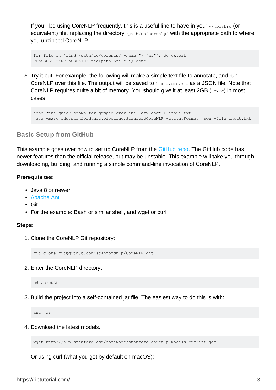If you'll be using CoreNLP frequently, this is a useful line to have in your  $\sim$  / . bashrc (or equivalent) file, replacing the directory /path/to/corenlp/ with the appropriate path to where you unzipped CoreNLP:

```
for file in `find /path/to/corenlp/ -name "*.jar"`; do export
CLASSPATH="$CLASSPATH:`realpath $file`"; done
```
5. Try it out! For example, the following will make a simple text file to annotate, and run CoreNLP over this file. The output will be saved to input.txt.out as a JSON file. Note that CoreNLP requires quite a bit of memory. You should give it at least  $2GB$  ( $-mx2q$ ) in most cases.

```
echo "the quick brown fox jumped over the lazy dog" > input.txt
java -mx2g edu.stanford.nlp.pipeline.StanfordCoreNLP -outputFormat json -file input.txt
```
#### <span id="page-4-0"></span>**Basic Setup from GitHub**

This example goes over how to set up CoreNLP from the [GitHub repo](https://github.com/stanfordnlp/CoreNLP). The GitHub code has newer features than the official release, but may be unstable. This example will take you through downloading, building, and running a simple command-line invocation of CoreNLP.

#### **Prerequisites:**

- Java 8 or newer.
- [Apache Ant](http://ant.apache.org/)
- Git
- For the example: Bash or similar shell, and wget or curl

#### **Steps:**

1. Clone the CoreNLP Git repository:

git clone git@github.com:stanfordnlp/CoreNLP.git

2. Enter the CoreNLP directory:

cd CoreNLP

3. Build the project into a self-contained jar file. The easiest way to do this is with:

ant jar

4. Download the latest models.

wget http://nlp.stanford.edu/software/stanford-corenlp-models-current.jar

Or using curl (what you get by default on macOS):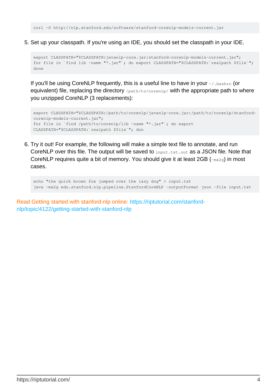5. Set up your classpath. If you're using an IDE, you should set the classpath in your IDE.

```
export CLASSPATH="$CLASSPATH:javanlp-core.jar:stanford-corenlp-models-current.jar";
for file in `find lib -name "*.jar"`; do export CLASSPATH="$CLASSPATH:`realpath $file`";
done
```
If you'll be using CoreNLP frequently, this is a useful line to have in your ~/.bashrc (or equivalent) file, replacing the directory /path/to/corenlp/ with the appropriate path to where you unzipped CoreNLP (3 replacements):

```
export CLASSPATH="$CLASSPATH:/path/to/corenlp/javanlp-core.jar:/path/to/corenlp/stanford-
corenlp-models-current.jar";
for file in `find /path/to/corenlp/lib -name "*.jar"`; do export
CLASSPATH="$CLASSPATH:`realpath $file`"; don
```
6. Try it out! For example, the following will make a simple text file to annotate, and run CoreNLP over this file. The output will be saved to input.txt.out as a JSON file. Note that CoreNLP requires quite a bit of memory. You should give it at least  $2GB$  ( $-mx2g$ ) in most cases.

```
echo "the quick brown fox jumped over the lazy dog" > input.txt
java -mx2g edu.stanford.nlp.pipeline.StanfordCoreNLP -outputFormat json -file input.txt
```
Read Getting started with stanford-nlp online: [https://riptutorial.com/stanford](https://riptutorial.com/stanford-nlp/topic/4122/getting-started-with-stanford-nlp)[nlp/topic/4122/getting-started-with-stanford-nlp](https://riptutorial.com/stanford-nlp/topic/4122/getting-started-with-stanford-nlp)